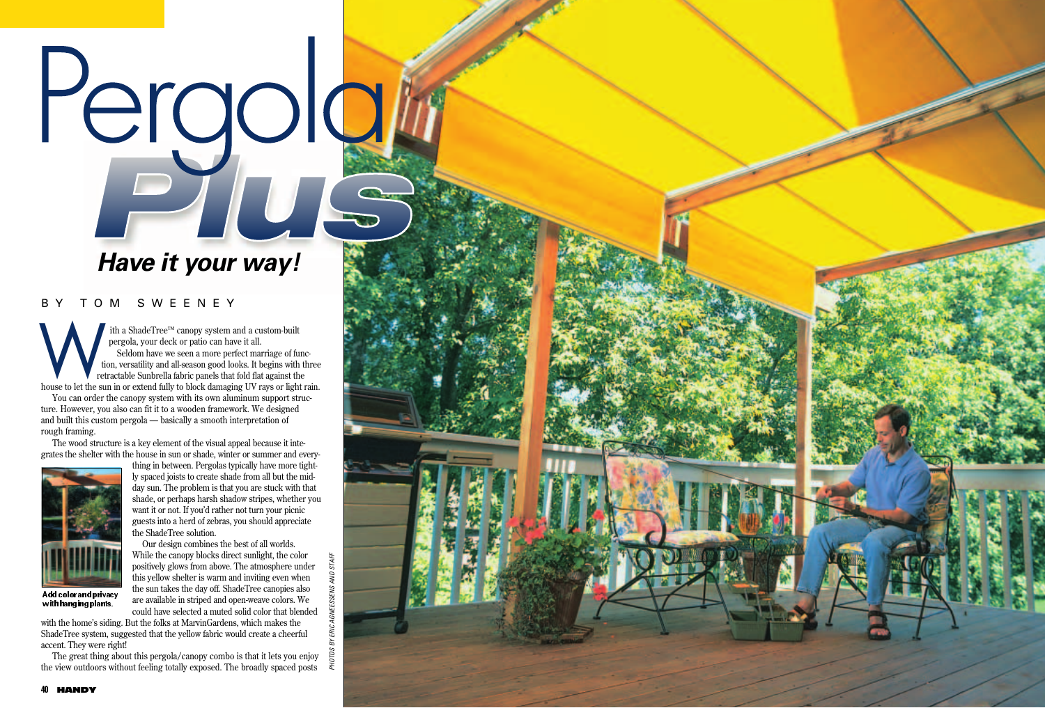# Pergolai

# **Have it your way!**

## BY TOM SWEENEY

ith a ShadeTree™ canopy system and a custom-built pergola, your deck or patio can have it all. Seldom have we seen a more perfect marriage of function, versatility and all-season good looks. It begins with three retractable Sunbrella fabric panels that fold flat against the house to let the sun in or extend fully to block damaging UV rays or light rain.<br>
Note to let the sun in or extend fully to block damaging UV rays or light rain.

You can order the canopy system with its own aluminum support structure. However, you also can fit it to a wooden framework. We designed and built this custom pergola — basically a smooth interpretation of rough framing.

The wood structure is a key element of the visual appeal because it integrates the shelter with the house in sun or shade, winter or summer and every-



with hanging plants.

thing in between. Pergolas typically have more tightly spaced joists to create shade from all but the midday sun. The problem is that you are stuck with that shade, or perhaps harsh shadow stripes, whether you want it or not. If you'd rather not turn your picnic guests into a herd of zebras, you should appreciate the ShadeTree solution.

Our design combines the best of all worlds. While the canopy blocks direct sunlight, the color positively glows from above. The atmosphere under this yellow shelter is warm and inviting even when the sun takes the day off. ShadeTree canopies also are available in striped and open-weave colors. We could have selected a muted solid color that blended

PHOTOS BY ERIC AGNEESSENS AND STAFF

with the home's siding. But the folks at MarvinGardens, which makes the ShadeTree system, suggested that the yellow fabric would create a cheerful accent. They were right!

The great thing about this pergola/canopy combo is that it lets you enjoy the view outdoors without feeling totally exposed. The broadly spaced posts

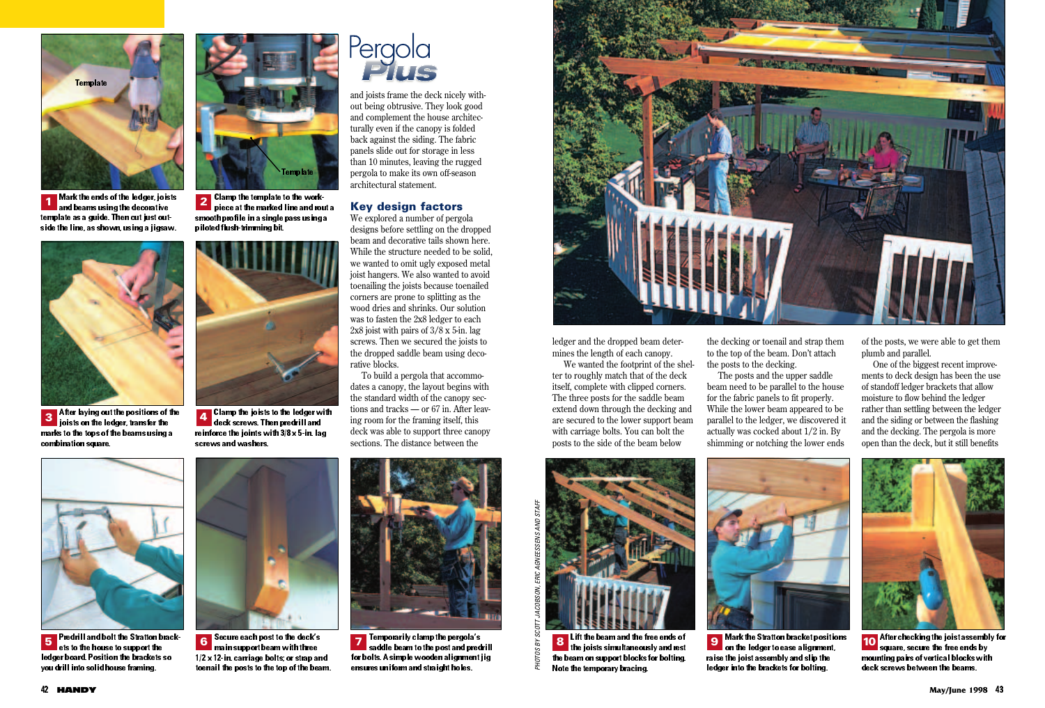

**Mark the ends of the ledger, joists** and beams using the decorative **1 2** template as a guide. Then cut just outside the line, as shown, using a jigsaw.



After laying out the positions of the 3 **Aller laying out the positions of the**<br>joists on the ledger, transfer the marks to the tops of the beams using a combination square.



**2** Clamp the template to the workpiece at the marked line and rout a smooth profile in a single pass using a piloted flush-trimming bit.



Clamp the joists to the ledger with deck screws. Then predrill and reinforce the joints with 3/8 x 5-in. lag screws and washers.



and joists frame the deck nicely without being obtrusive. They look good and complement the house architecturally even if the canopy is folded back against the siding. The fabric panels slide out for storage in less than 10 minutes, leaving the rugged pergola to make its own off-season architectural statement.

### **Key design factors**

We explored a number of pergola designs before settling on the dropped beam and decorative tails shown here. While the structure needed to be solid, we wanted to omit ugly exposed metal joist hangers. We also wanted to avoid toenailing the joists because toenailed corners are prone to splitting as the wood dries and shrinks. Our solution was to fasten the 2x8 ledger to each 2x8 joist with pairs of 3/8 x 5-in. lag screws. Then we secured the joists to the dropped saddle beam using decorative blocks.

To build a pergola that accommodates a canopy, the layout begins with the standard width of the canopy sections and tracks — or 67 in. After leaving room for the framing itself, this deck was able to support three canopy sections. The distance between the



ledger and the dropped beam determines the length of each canopy.

We wanted the footprint of the shelter to roughly match that of the deck itself, complete with clipped corners. The three posts for the saddle beam extend down through the decking and are secured to the lower support beam with carriage bolts. You can bolt the posts to the side of the beam below

the decking or toenail and strap them to the top of the beam. Don't attach the posts to the decking.

The posts and the upper saddle beam need to be parallel to the house for the fabric panels to fit properly. While the lower beam appeared to be parallel to the ledger, we discovered it actually was cocked about 1/2 in. By shimming or notching the lower ends

of the posts, we were able to get them plumb and parallel.

One of the biggest recent improvements to deck design has been the use of standoff ledger brackets that allow moisture to flow behind the ledger rather than settling between the ledger and the siding or between the flashing and the decking. The pergola is more open than the deck, but it still benefits



Predrill and bolt the Stratton brackets to the house to support the ledger board. Position the brackets so you drill into solid house framing.



Secure each post to the deck's main support beam with three 1/2 x 12-in. carriage bolts; or strap and toenail the posts to the top of the beam.



**Temporarily clamp the pergola's** saddle beam to the post and predrill for bolts. A simple wooden alignment jig ensures uniform and straight holes.



**8** Lift the beam and the free ends of **the joists simultaneously and rest** the beam on support blocks for bolting. Note the temporary bracing.



**Mark the Stratton bracket positions** on the ledger to ease alignment, raise the joist assembly and slip the ledger into the brackets for bolting.



**After checking the joist assembly for** square, secure the free ends by mounting pairs of vertical blocks with deck screws between the beams.